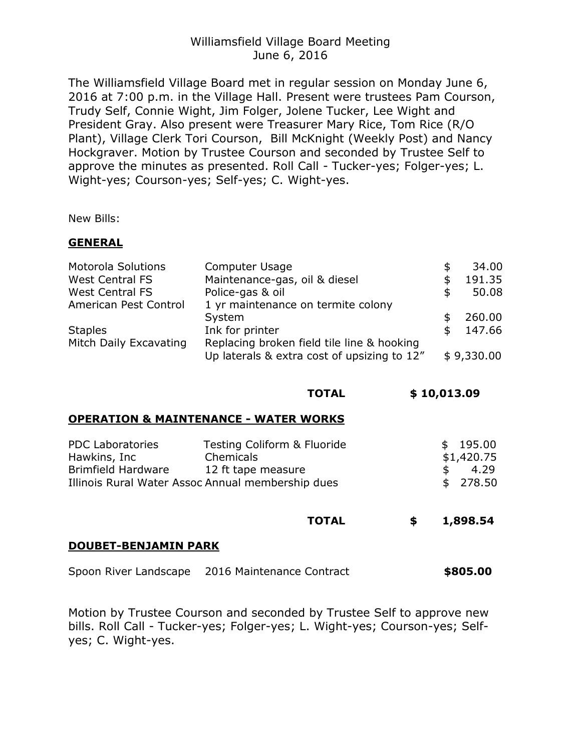# Williamsfield Village Board Meeting June 6, 2016

The Williamsfield Village Board met in regular session on Monday June 6, 2016 at 7:00 p.m. in the Village Hall. Present were trustees Pam Courson, Trudy Self, Connie Wight, Jim Folger, Jolene Tucker, Lee Wight and President Gray. Also present were Treasurer Mary Rice, Tom Rice (R/O Plant), Village Clerk Tori Courson, Bill McKnight (Weekly Post) and Nancy Hockgraver. Motion by Trustee Courson and seconded by Trustee Self to approve the minutes as presented. Roll Call - Tucker-yes; Folger-yes; L. Wight-yes; Courson-yes; Self-yes; C. Wight-yes.

New Bills:

### **GENERAL**

| <b>Motorola Solutions</b> | Computer Usage                              | \$. | 34.00      |
|---------------------------|---------------------------------------------|-----|------------|
| <b>West Central FS</b>    | Maintenance-gas, oil & diesel               |     | 191.35     |
| West Central FS           | Police-gas & oil                            |     | 50.08      |
| American Pest Control     | 1 yr maintenance on termite colony          |     |            |
|                           | System                                      |     | 260.00     |
| <b>Staples</b>            | Ink for printer                             |     | 147.66     |
| Mitch Daily Excavating    | Replacing broken field tile line & hooking  |     |            |
|                           | Up laterals & extra cost of upsizing to 12" |     | \$9,330.00 |

**TOTAL \$ 10,013.09**

#### **OPERATION & MAINTENANCE - WATER WORKS**

| <b>PDC Laboratories</b>                           | Testing Coliform & Fluoride | \$195.00   |  |
|---------------------------------------------------|-----------------------------|------------|--|
| Hawkins, Inc                                      | Chemicals                   | \$1,420.75 |  |
| Brimfield Hardware                                | 12 ft tape measure          | -4.29      |  |
| Illinois Rural Water Assoc Annual membership dues |                             | \$278.50   |  |

**TOTAL \$ 1,898.54**

#### **DOUBET-BENJAMIN PARK**

| Spoon River Landscape | 2016 Maintenance Contract | \$805.00 |
|-----------------------|---------------------------|----------|
|                       |                           |          |

Motion by Trustee Courson and seconded by Trustee Self to approve new bills. Roll Call - Tucker-yes; Folger-yes; L. Wight-yes; Courson-yes; Selfyes; C. Wight-yes.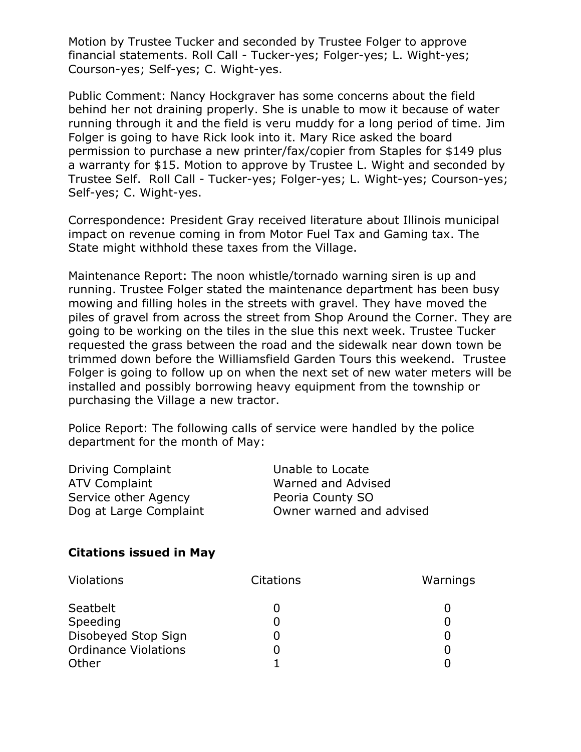Motion by Trustee Tucker and seconded by Trustee Folger to approve financial statements. Roll Call - Tucker-yes; Folger-yes; L. Wight-yes; Courson-yes; Self-yes; C. Wight-yes.

Public Comment: Nancy Hockgraver has some concerns about the field behind her not draining properly. She is unable to mow it because of water running through it and the field is veru muddy for a long period of time. Jim Folger is going to have Rick look into it. Mary Rice asked the board permission to purchase a new printer/fax/copier from Staples for \$149 plus a warranty for \$15. Motion to approve by Trustee L. Wight and seconded by Trustee Self. Roll Call - Tucker-yes; Folger-yes; L. Wight-yes; Courson-yes; Self-yes; C. Wight-yes.

Correspondence: President Gray received literature about Illinois municipal impact on revenue coming in from Motor Fuel Tax and Gaming tax. The State might withhold these taxes from the Village.

Maintenance Report: The noon whistle/tornado warning siren is up and running. Trustee Folger stated the maintenance department has been busy mowing and filling holes in the streets with gravel. They have moved the piles of gravel from across the street from Shop Around the Corner. They are going to be working on the tiles in the slue this next week. Trustee Tucker requested the grass between the road and the sidewalk near down town be trimmed down before the Williamsfield Garden Tours this weekend. Trustee Folger is going to follow up on when the next set of new water meters will be installed and possibly borrowing heavy equipment from the township or purchasing the Village a new tractor.

Police Report: The following calls of service were handled by the police department for the month of May:

| <b>Driving Complaint</b> | Unable to Locate         |
|--------------------------|--------------------------|
| <b>ATV Complaint</b>     | Warned and Advised       |
| Service other Agency     | Peoria County SO         |
| Dog at Large Complaint   | Owner warned and advised |

## **Citations issued in May**

| Violations                  | <b>Citations</b> | Warnings |
|-----------------------------|------------------|----------|
| Seatbelt                    |                  |          |
| Speeding                    |                  |          |
| Disobeyed Stop Sign         |                  |          |
| <b>Ordinance Violations</b> |                  |          |
| Other                       |                  |          |